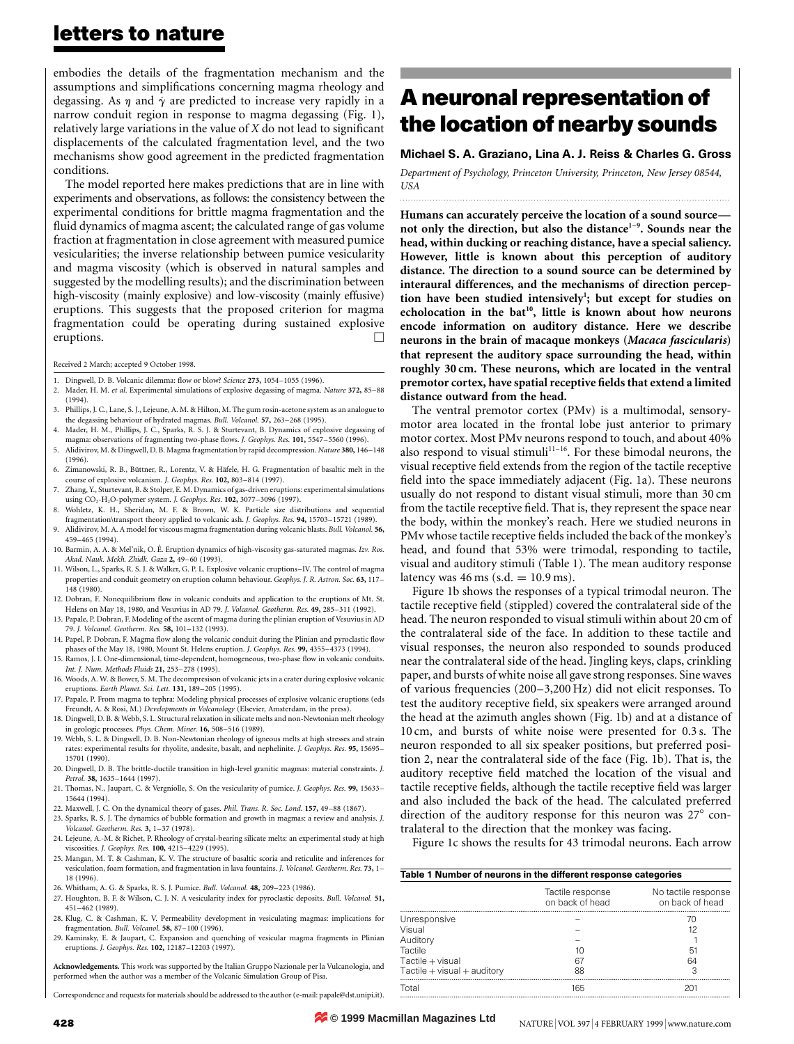### letters to nature

embodies the details of the fragmentation mechanism and the assumptions and simplifications concerning magma rheology and degassing. As  $\eta$  and  $\dot{\gamma}$  are predicted to increase very rapidly in a narrow conduit region in response to magma degassing (Fig. 1), relatively large variations in the value of  $X$  do not lead to significant displacements of the calculated fragmentation level, and the two mechanisms show good agreement in the predicted fragmentation conditions.

The model reported here makes predictions that are in line with experiments and observations, as follows: the consistency between the experimental conditions for brittle magma fragmentation and the fluid dynamics of magma ascent; the calculated range of gas volume fraction at fragmentation in close agreement with measured pumice vesicularities; the inverse relationship between pumice vesicularity and magma viscosity (which is observed in natural samples and suggested by the modelling results); and the discrimination between high-viscosity (mainly explosive) and low-viscosity (mainly effusive) eruptions. This suggests that the proposed criterion for magma fragmentation could be operating during sustained explosive eruptions.

Received 2 March; accepted 9 October 1998.

- 1. Dingwell, D. B. Volcanic dilemma: flow or blow? Science 273, 1054-1055 (1996).
- 2. Mader, H. M. et al. Experimental simulations of explosive degassing of magma. Nature 372, 85-88 (1994).
- 3. Phillips, J. C., Lane, S. J., Lejeune, A. M. & Hilton, M. The gum rosin-acetone system as an analogue to the degassing behaviour of hydrated magmas. Bull. Volcanol. 57, 263-268 (1995).
- 4. Mader, H. M., Phillips, J. C., Sparks, R. S. J. & Sturtevant, B. Dynamics of explosive degassing of magma: observations of fragmenting two-phase flows. J. Geophys. Res. 101, 5547-5560 (1996).
- 5. Alidivirov, M. & Dingwell, D. B. Magma fragmentation by rapid decompression. Nature 380, 146-148 (1996).
- Zimanowski, R. B., Büttner, R., Lorentz, V. & Häfele, H. G. Fragmentation of basaltic melt in the course of explosive volcanism. J. Geophys. Res. 102, 803-814 (1997).
- 7. Zhang, Y., Sturtevant, B. & Stolper, E. M. Dynamics of gas-driven eruptions: experimental simulations using CO<sub>2</sub>-H<sub>2</sub>O-polymer system. *J. Geophys. Res.* 102, 3077-3096 (1997).
- 8. Wohletz, K. H., Sheridan, M. F. & Brown, W. K. Particle size distributions and sequential fragmentation\transport theory applied to volcanic ash. J. Geophys. Res. 94, 15703-15721 (1989).
- 9. Alidivirov, M. A. A model for viscous magma fragmentation during volcanic blasts. Bull. Volcanol. 56, 459±465 (1994).
- 10. Barmin, A. A. & Mel'nik, O. É. Eruption dynamics of high-viscosity gas-saturated magmas. Izv. Ros. Akad. Nauk. Mekh. Zhidk. Gaza 2, 49-60 (1993).
- 11. Wilson, L., Sparks, R. S. J. & Walker, G. P. L. Explosive volcanic eruptions±IV. The control of magma properties and conduit geometry on eruption column behaviour. Geophys. J. R. Astron. Soc. 63, 117-148 (1980).
- 12. Dobran, F. Nonequilibrium flow in volcanic conduits and application to the eruptions of Mt. St. Helens on May 18, 1980, and Vesuvius in AD 79. J. Volcanol. Geotherm. Res. 49, 285-311 (1992).
- 13. Papale, P. Dobran, F. Modeling of the ascent of magma during the plinian eruption of Vesuvius in AD 79. J. Volcanol. Geotherm. Res. 58, 101-132 (1993).
- 14. Papel, P. Dobran, F. Magma flow along the volcanic conduit during the Plinian and pyroclastic flow phases of the May 18, 1980, Mount St. Helens eruption. J. Geophys. Res. 99, 4355-4373 (1994).
- 15. Ramos, J. I. One-dimensional, time-dependent, homogeneous, two-phase flow in volcanic conduits Int. J. Num. Methods Fluids 21, 253-278 (1995).
- 16. Woods, A. W. & Bower, S. M. The decompresison of volcanic jets in a crater during explosive volcanic eruptions. Earth Planet. Sci. Lett. 131, 189-205 (1995).
- 17. Papale, P. From magma to tephra: Modeling physical processes of explosive volcanic eruptions (eds Freundt, A. & Rosi, M.) Developments in Volcanology (Elsevier, Amsterdam, in the press).
- 18. Dingwell, D. B. & Webb, S. L. Structural relaxation in silicate melts and non-Newtonian melt rheology in geologic processes. Phys. Chem. Miner. 16, 508-516 (1989). 19. Webb, S. L. & Dingwell, D. B. Non-Newtonian rheology of igneous melts at high stresses and strain
- rates: experimental results for rhyolite, andesite, basalt, and nephelinite. J. Geophys. Res. 95, 15695-15701 (1990).
- 20. Dingwell, D. B. The brittle-ductile transition in high-level granitic magmas: material constraints. J. Petrol. 38, 1635-1644 (1997).
- 21. Thomas, N., Jaupart, C. & Vergniolle, S. On the vesicularity of pumice. J. Geophys. Res. 99, 15633-15644 (1994).
- 22. Maxwell, J. C. On the dynamical theory of gases. Phil. Trans. R. Soc. Lond. 157, 49-88 (1867).
- 23. Sparks, R. S. J. The dynamics of bubble formation and growth in magmas: a review and analysis. J. Volcanol. Geotherm. Res. 3, 1±37 (1978).
- 24. Lejeune, A.-M. & Richet, P. Rheology of crystal-bearing silicate melts: an experimental study at high viscosities. J. Geophys. Res. 100, 4215-4229 (1995).
- 25. Mangan, M. T. & Cashman, K. V. The structure of basaltic scoria and reticulite and inferences for vesiculation, foam formation, and fragmentation in lava fountains. J. Volcanol. Geotherm. Res. 73, 1-18 (1996).
- 26. Whitham, A. G. & Sparks, R. S. J. Pumice. Bull. Volcanol. 48, 209-223 (1986).
- 27. Houghton, B. F. & Wilson, C. J. N. A vesicularity index for pyroclastic deposits. Bull. Volcanol. 51, 451±462 (1989).
- 28. Klug, C. & Cashman, K. V. Permeability development in vesiculating magmas: implications for fragmentation. Bull. Volcanol. 58, 87-100 (1996).
- 29. Kaminsky, E. & Jaupart, C. Expansion and quenching of vesicular magma fragments in Plinian eruptions. J. Geophys. Res. 102, 12187-12203 (1997).

Acknowledgements. This work was supported by the Italian Gruppo Nazionale per la Vulcanologia, and performed when the author was a member of the Volcanic Simulation Group of Pisa.

Correspondence and requests for materials should be addressed to the author (e-mail: papale@dst.unipi.it).

# A neuronal representation of the location of nearby sounds

### Michael S. A. Graziano, Lina A. J. Reiss & Charles G. Gross

Department of Psychology, Princeton University, Princeton, New Jersey 08544, **USA** .........................................................................................................................

Humans can accurately perceive the location of a sound sourcenot only the direction, but also the distance<sup>1-9</sup>. Sounds near the head, within ducking or reaching distance, have a special saliency. However, little is known about this perception of auditory distance. The direction to a sound source can be determined by interaural differences, and the mechanisms of direction perception have been studied intensively<sup>1</sup>; but except for studies on echolocation in the bat<sup>10</sup>, little is known about how neurons encode information on auditory distance. Here we describe neurons in the brain of macaque monkeys (Macaca fascicularis) that represent the auditory space surrounding the head, within roughly 30 cm. These neurons, which are located in the ventral premotor cortex, have spatial receptive fields that extend a limited distance outward from the head.

The ventral premotor cortex (PMv) is a multimodal, sensorymotor area located in the frontal lobe just anterior to primary motor cortex. Most PMv neurons respond to touch, and about 40% also respond to visual stimuli<sup>11-16</sup>. For these bimodal neurons, the visual receptive field extends from the region of the tactile receptive field into the space immediately adjacent (Fig. 1a). These neurons usually do not respond to distant visual stimuli, more than 30 cm from the tactile receptive field. That is, they represent the space near the body, within the monkey's reach. Here we studied neurons in PMv whose tactile receptive fields included the back of the monkey's head, and found that 53% were trimodal, responding to tactile, visual and auditory stimuli (Table 1). The mean auditory response latency was  $46 \text{ ms}$  (s.d.  $= 10.9 \text{ ms}$ ).

Figure 1b shows the responses of a typical trimodal neuron. The tactile receptive field (stippled) covered the contralateral side of the head. The neuron responded to visual stimuli within about 20 cm of the contralateral side of the face. In addition to these tactile and visual responses, the neuron also responded to sounds produced near the contralateral side of the head. Jingling keys, claps, crinkling paper, and bursts of white noise all gave strong responses. Sine waves of various frequencies (200±3,200 Hz) did not elicit responses. To test the auditory receptive field, six speakers were arranged around the head at the azimuth angles shown (Fig. 1b) and at a distance of 10 cm, and bursts of white noise were presented for 0.3 s. The neuron responded to all six speaker positions, but preferred position 2, near the contralateral side of the face (Fig. 1b). That is, the auditory receptive field matched the location of the visual and tactile receptive fields, although the tactile receptive field was larger and also included the back of the head. The calculated preferred direction of the auditory response for this neuron was  $27^\circ$  contralateral to the direction that the monkey was facing.

Figure 1c shows the results for 43 trimodal neurons. Each arrow

#### Table 1 Number of neurons in the different response categories

|                                 | Tactile response<br>on back of head | No tactile response<br>on back of head |
|---------------------------------|-------------------------------------|----------------------------------------|
| Unresponsive                    |                                     |                                        |
| Visual                          |                                     |                                        |
| Auditory                        |                                     |                                        |
| Tactile                         | 10                                  | Б.                                     |
| Tactile + visual                | 67                                  | 64                                     |
| Tactile $+$ visual $+$ auditory | 88                                  |                                        |
| Total                           | 165                                 | 20.                                    |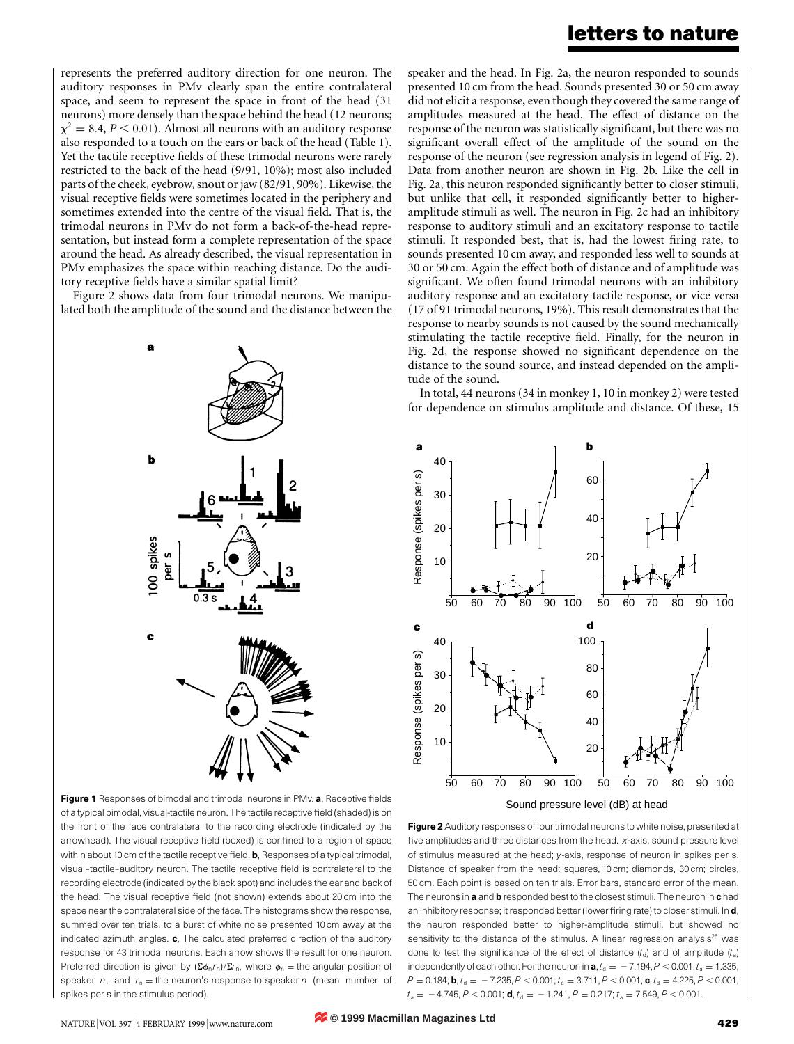### letters to nature

represents the preferred auditory direction for one neuron. The auditory responses in PMv clearly span the entire contralateral space, and seem to represent the space in front of the head (31 neurons) more densely than the space behind the head (12 neurons;  $\chi^2 = 8.4, P \le 0.01$ . Almost all neurons with an auditory response also responded to a touch on the ears or back of the head (Table 1). Yet the tactile receptive fields of these trimodal neurons were rarely restricted to the back of the head (9/91, 10%); most also included parts of the cheek, eyebrow, snout or jaw (82/91, 90%). Likewise, the visual receptive fields were sometimes located in the periphery and sometimes extended into the centre of the visual field. That is, the trimodal neurons in PMv do not form a back-of-the-head representation, but instead form a complete representation of the space around the head. As already described, the visual representation in PMv emphasizes the space within reaching distance. Do the auditory receptive fields have a similar spatial limit?

Figure 2 shows data from four trimodal neurons. We manipulated both the amplitude of the sound and the distance between the



Figure 1 Responses of bimodal and trimodal neurons in PMv. a, Receptive fields of a typical bimodal, visual-tactile neuron. The tactile receptive field (shaded) is on the front of the face contralateral to the recording electrode (indicated by the arrowhead). The visual receptive field (boxed) is confined to a region of space within about 10 cm of the tactile receptive field.  $\mathbf b$ , Responses of a typical trimodal, visual-tactile-auditory neuron. The tactile receptive field is contralateral to the recording electrode (indicated by the black spot) and includes the ear and back of the head. The visual receptive field (not shown) extends about 20 cm into the space near the contralateral side of the face. The histograms show the response, summed over ten trials, to a burst of white noise presented 10 cm away at the indicated azimuth angles. c, The calculated preferred direction of the auditory response for 43 trimodal neurons. Each arrow shows the result for one neuron. Preferred direction is given by  $(\Sigma \phi_n r_n)/\Sigma r_n$ , where  $\phi_n =$  the angular position of speaker n, and  $r_n$  = the neuron's response to speaker n (mean number of spikes per s in the stimulus period).

speaker and the head. In Fig. 2a, the neuron responded to sounds presented 10 cm from the head. Sounds presented 30 or 50 cm away did not elicit a response, even though they covered the same range of amplitudes measured at the head. The effect of distance on the response of the neuron was statistically significant, but there was no significant overall effect of the amplitude of the sound on the response of the neuron (see regression analysis in legend of Fig. 2). Data from another neuron are shown in Fig. 2b. Like the cell in Fig. 2a, this neuron responded significantly better to closer stimuli, but unlike that cell, it responded significantly better to higheramplitude stimuli as well. The neuron in Fig. 2c had an inhibitory response to auditory stimuli and an excitatory response to tactile stimuli. It responded best, that is, had the lowest firing rate, to sounds presented 10 cm away, and responded less well to sounds at 30 or 50 cm. Again the effect both of distance and of amplitude was significant. We often found trimodal neurons with an inhibitory auditory response and an excitatory tactile response, or vice versa (17 of 91 trimodal neurons, 19%). This result demonstrates that the response to nearby sounds is not caused by the sound mechanically stimulating the tactile receptive field. Finally, for the neuron in Fig. 2d, the response showed no significant dependence on the distance to the sound source, and instead depended on the amplitude of the sound.

In total, 44 neurons (34 in monkey 1, 10 in monkey 2) were tested for dependence on stimulus amplitude and distance. Of these, 15



Figure 2 Auditory responses of four trimodal neurons to white noise, presented at five amplitudes and three distances from the head.  $x$ -axis, sound pressure level of stimulus measured at the head; y-axis, response of neuron in spikes per s. Distance of speaker from the head: squares, 10 cm; diamonds, 30 cm; circles, 50 cm. Each point is based on ten trials. Error bars, standard error of the mean. The neurons in a and b responded best to the closest stimuli. The neuron in chad an inhibitory response; it responded better (lower firing rate) to closer stimuli. In d, the neuron responded better to higher-amplitude stimuli, but showed no sensitivity to the distance of the stimulus. A linear regression analysis $^{26}$  was done to test the significance of the effect of distance  $(t<sub>d</sub>)$  and of amplitude  $(t<sub>a</sub>)$ independently of each other. For the neuron in  $a, t_d = -7.194, P < 0.001; t_a = 1.335$ ,  $P = 0.184$ ; **b**,  $t_{d} = -7.235$ ,  $P < 0.001$ ;  $t_{a} = 3.711$ ,  $P < 0.001$ ; **c**,  $t_{d} = 4.225$ ,  $P < 0.001$ ;  $t_a = -4.745, P < 0.001$ ; d,  $t_d = -1.241, P = 0.217$ ;  $t_a = 7.549, P < 0.001$ .